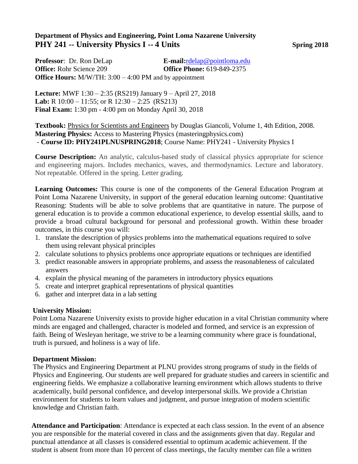## **Department of Physics and Engineering, Point Loma Nazarene University PHY 241 -- University Physics I -- 4 Units Spring 2018**

**Professor**: Dr. Ron DeLap **E-mail:**[rdelap@pointloma.edu](mailto:rdelap@pointloma.edu) **Office:** Rohr Science 209 **Office Phone:** 619-849-2375 **Office Hours:** M/W/TH: 3:00 – 4:00 PM and by appointment

**Lecture:** MWF 1:30 – 2:35 (RS219) January 9 – April 27, 2018 **Lab:** R 10:00 – 11:55; or R 12:30 – 2:25 (RS213) **Final Exam:** 1:30 pm - 4:00 pm on Monday April 30, 2018

**Textbook:** Physics for Scientists and Engineers by Douglas Giancoli, Volume 1, 4th Edition, 2008. **Mastering Physics:** Access to Mastering Physics (masteringphysics.com) - **Course ID: PHY241PLNUSPRING2018**; Course Name: PHY241 - University Physics I

**Course Description:** An analytic, calculus-based study of classical physics appropriate for science and engineering majors. Includes mechanics, waves, and thermodynamics. Lecture and laboratory. Not repeatable. Offered in the spring. Letter grading.

**Learning Outcomes:** This course is one of the components of the General Education Program at Point Loma Nazarene University, in support of the general education learning outcome: Quantitative Reasoning: Students will be able to solve problems that are quantitative in nature. The purpose of general education is to provide a common educational experience, to develop essential skills, aand to provide a broad cultural background for personal and professional growth. Within these broader outcomes, in this course you will:

- 1. translate the description of physics problems into the mathematical equations required to solve them using relevant physical principles
- 2. calculate solutions to physics problems once appropriate equations or techniques are identified
- 3. predict reasonable answers in appropriate problems, and assess the reasonableness of calculated answers
- 4. explain the physical meaning of the parameters in introductory physics equations
- 5. create and interpret graphical representations of physical quantities
- 6. gather and interpret data in a lab setting

### **University Mission:**

Point Loma Nazarene University exists to provide higher education in a vital Christian community where minds are engaged and challenged, character is modeled and formed, and service is an expression of faith. Being of Wesleyan heritage, we strive to be a learning community where grace is foundational, truth is pursued, and holiness is a way of life.

### **Department Mission:**

The Physics and Engineering Department at PLNU provides strong programs of study in the fields of Physics and Engineering. Our students are well prepared for graduate studies and careers in scientific and engineering fields. We emphasize a collaborative learning environment which allows students to thrive academically, build personal confidence, and develop interpersonal skills. We provide a Christian environment for students to learn values and judgment, and pursue integration of modern scientific knowledge and Christian faith.

**Attendance and Participation**: Attendance is expected at each class session. In the event of an absence you are responsible for the material covered in class and the assignments given that day. Regular and punctual attendance at all classes is considered essential to optimum academic achievement. If the student is absent from more than 10 percent of class meetings, the faculty member can file a written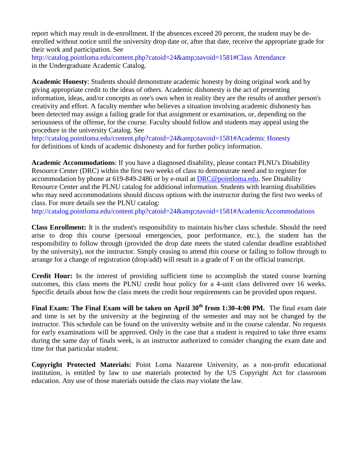report which may result in de-enrollment. If the absences exceed 20 percent, the student may be deenrolled without notice until the university drop date or, after that date, receive the appropriate grade for their work and participation. See

[http://catalog.pointloma.edu/content.php?catoid=24&navoid=1581#Class A](http://catalog.pointloma.edu/content.php?catoid=24&amp%3Bnavoid=1581&Class)ttendance in the Undergraduate Academic Catalog.

**Academic Honesty**: Students should demonstrate academic honesty by doing original work and by giving appropriate credit to the ideas of others. Academic dishonesty is the act of presenting information, ideas, and/or concepts as one's own when in reality they are the results of another person's creativity and effort. A faculty member who believes a situation involving academic dishonesty has been detected may assign a failing grade for that assignment or examination, or, depending on the seriousness of the offense, for the course. Faculty should follow and students may appeal using the procedure in the university Catalog. See

[http://catalog.pointloma.edu/content.php?catoid=24&navoid=1581#Academic H](http://catalog.pointloma.edu/content.php?catoid=24&amp%3Bnavoid=1581&Academic)onesty for definitions of kinds of academic dishonesty and for further policy information.

**Academic Accommodations**: If you have a diagnosed disability, please contact PLNU's Disability Resource Center (DRC) within the first two weeks of class to demonstrate need and to register for accommodation by phone at 619-849-2486 or by e-mail at [DRC@pointloma.edu.](mailto:DRC@pointloma.edu) See Disability Resource Center and the PLNU catalog for additional information. Students with learning disabilities who may need accommodations should discuss options with the instructor during the first two weeks of class. For more details see the PLNU catalog:

[http://catalog.pointloma.edu/content.php?catoid=24&navoid=1581#AcademicAccommodations](http://catalog.pointloma.edu/content.php?catoid=24&amp%3Bnavoid=1581&AcademicAccommodations)

**Class Enrollment:** It is the student's responsibility to maintain his/her class schedule. Should the need arise to drop this course (personal emergencies, poor performance, etc.), the student has the responsibility to follow through (provided the drop date meets the stated calendar deadline established by the university), not the instructor. Simply ceasing to attend this course or failing to follow through to arrange for a change of registration (drop/add) will result in a grade of F on the official transcript.

**Credit Hour:** In the interest of providing sufficient time to accomplish the stated course learning outcomes, this class meets the PLNU credit hour policy for a 4-unit class delivered over 16 weeks. Specific details about how the class meets the credit hour requirements can be provided upon request.

**Final Exam: The Final Exam will be taken on April 30th from 1:30-4:00 PM.** The final exam date and time is set by the university at the beginning of the semester and may not be changed by the instructor. This schedule can be found on the university website and in the course calendar. No requests for early examinations will be approved. Only in the case that a student is required to take three exams during the same day of finals week, is an instructor authorized to consider changing the exam date and time for that particular student.

**Copyright Protected Materials:** Point Loma Nazarene University, as a non-profit educational institution, is entitled by law to use materials protected by the US Copyright Act for classroom education. Any use of those materials outside the class may violate the law.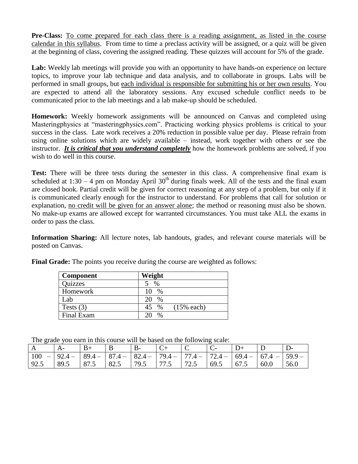**Pre-Class:** To come prepared for each class there is a reading assignment, as listed in the course calendar in this syllabus. From time to time a preclass activity will be assigned, or a quiz will be given at the beginning of class, covering the assigned reading. These quizzes will account for 5% of the grade.

Lab: Weekly lab meetings will provide you with an opportunity to have hands-on experience on lecture topics, to improve your lab technique and data analysis, and to collaborate in groups. Labs will be performed in small groups, but each individual is responsible for submitting his or her own results. You are expected to attend all the laboratory sessions. Any excused schedule conflict needs to be communicated prior to the lab meetings and a lab make-up should be scheduled.

**Homework:** Weekly homework assignments will be announced on Canvas and completed using Masteringphysics at "masteringphysics.com". Practicing working physics problems is critical to your success in the class. Late work receives a 20% reduction in possible value per day. Please refrain from using online solutions which are widely available – instead, work together with others or see the instructor. *It is critical that you understand completely* how the homework problems are solved, if you wish to do well in this course.

Test: There will be three tests during the semester in this class. A comprehensive final exam is scheduled at  $1:30 - 4$  pm on Monday April  $30<sup>th</sup>$  during finals week. All of the tests and the final exam are closed book. Partial credit will be given for correct reasoning at any step of a problem, but only if it is communicated clearly enough for the instructor to understand. For problems that call for solution or explanation, no credit will be given for an answer alone; the method or reasoning must also be shown. No make-up exams are allowed except for warranted circumstances. You must take ALL the exams in order to pass the class.

**Information Sharing:** All lecture notes, lab handouts, grades, and relevant course materials will be posted on Canvas.

| <b>Component</b> | Weight                     |
|------------------|----------------------------|
| <b>Quizzes</b>   | $\%$                       |
| Homework         | $\%$                       |
| Lab              | $\%$                       |
| Tests $(3)$      | $(15%$ each)<br>$\%$<br>45 |
| Final Exam       | $\%$                       |

**Final Grade:** The points you receive during the course are weighted as follows:

|  | The grade you earn in this course will be based on the following scale: |
|--|-------------------------------------------------------------------------|
|  |                                                                         |

| $        -$ |                                                                                               |      |       |       |      |       |      |               |      |       |
|-------------|-----------------------------------------------------------------------------------------------|------|-------|-------|------|-------|------|---------------|------|-------|
|             |                                                                                               | $B+$ | B     |       |      |       |      |               |      |       |
| 100         | $-$   92.4 -   89.4 -   87.4 -   82.4 -   79.4 -   77.4 -   72.4 -   69.4 -   67.4 -   59.9 - |      |       |       |      |       |      |               |      |       |
| 92.5        | $89.5$ 87.5                                                                                   |      | 182.5 | 179.5 | 77.5 | 172.5 | 69.5 | $\sqrt{67.5}$ | 60.0 | 156.0 |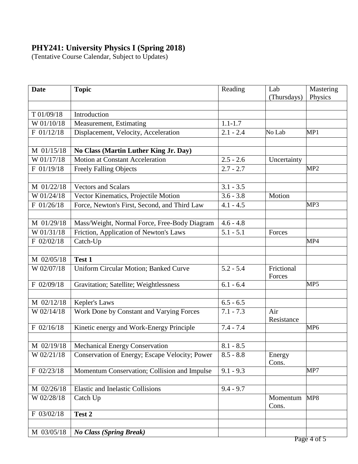# **PHY241: University Physics I (Spring 2018)**

(Tentative Course Calendar, Subject to Updates)

| <b>Date</b> | <b>Topic</b>                                   | Reading     | Lab<br>(Thursdays)   | Mastering<br>Physics |
|-------------|------------------------------------------------|-------------|----------------------|----------------------|
|             |                                                |             |                      |                      |
| T 01/09/18  | Introduction                                   |             |                      |                      |
| W 01/10/18  | Measurement, Estimating                        | $1.1 - 1.7$ |                      |                      |
| F 01/12/18  | Displacement, Velocity, Acceleration           | $2.1 - 2.4$ | No Lab               | MP1                  |
|             |                                                |             |                      |                      |
| M 01/15/18  | No Class (Martin Luther King Jr. Day)          |             |                      |                      |
| W 01/17/18  | <b>Motion at Constant Acceleration</b>         | $2.5 - 2.6$ | Uncertainty          |                      |
| F 01/19/18  | <b>Freely Falling Objects</b>                  | $2.7 - 2.7$ |                      | MP <sub>2</sub>      |
|             |                                                |             |                      |                      |
| M 01/22/18  | <b>Vectors and Scalars</b>                     | $3.1 - 3.5$ |                      |                      |
| W 01/24/18  | Vector Kinematics, Projectile Motion           | $3.6 - 3.8$ | Motion               |                      |
| F 01/26/18  | Force, Newton's First, Second, and Third Law   | $4.1 - 4.5$ |                      | MP3                  |
|             |                                                |             |                      |                      |
| M 01/29/18  | Mass/Weight, Normal Force, Free-Body Diagram   | $4.6 - 4.8$ |                      |                      |
| W 01/31/18  | Friction, Application of Newton's Laws         | $5.1 - 5.1$ | Forces               |                      |
| F 02/02/18  | Catch-Up                                       |             |                      | MP4                  |
|             |                                                |             |                      |                      |
| M 02/05/18  | Test 1                                         |             |                      |                      |
| W 02/07/18  | Uniform Circular Motion; Banked Curve          | $5.2 - 5.4$ | Frictional<br>Forces |                      |
| F 02/09/18  | Gravitation; Satellite; Weightlessness         | $6.1 - 6.4$ |                      | MP5                  |
|             |                                                |             |                      |                      |
| M 02/12/18  | Kepler's Laws                                  | $6.5 - 6.5$ |                      |                      |
| W 02/14/18  | Work Done by Constant and Varying Forces       | $7.1 - 7.3$ | Air<br>Resistance    |                      |
| F 02/16/18  | Kinetic energy and Work-Energy Principle       | $7.4 - 7.4$ |                      | MP <sub>6</sub>      |
|             |                                                |             |                      |                      |
| M 02/19/18  | Mechanical Energy Conservation                 | $8.1 - 8.5$ |                      |                      |
| W 02/21/18  | Conservation of Energy; Escape Velocity; Power | $8.5 - 8.8$ | Energy<br>Cons.      |                      |
| F 02/23/18  | Momentum Conservation; Collision and Impulse   | $9.1 - 9.3$ |                      | MP7                  |
|             |                                                |             |                      |                      |
| M 02/26/18  | <b>Elastic and Inelastic Collisions</b>        | $9.4 - 9.7$ |                      |                      |
| W 02/28/18  | Catch Up                                       |             | Momentum<br>Cons.    | MP8                  |
| F 03/02/18  | Test 2                                         |             |                      |                      |
|             |                                                |             |                      |                      |
| M 03/05/18  | <b>No Class (Spring Break)</b>                 |             |                      |                      |